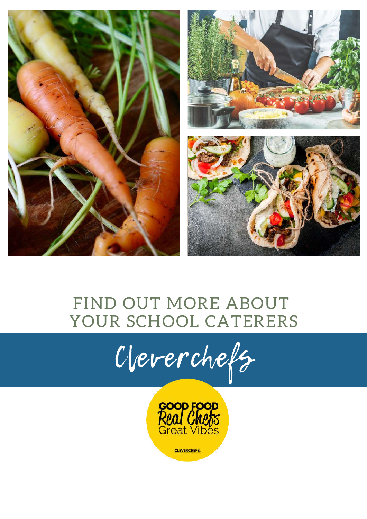

#### FIND OUT MORE ABOUT YOUR SCHOOL CATERERS



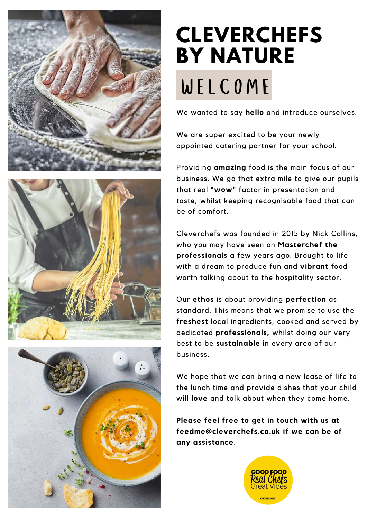





# **CLEVERCHEFS BY NATURE** WELCOME

We wanted to say **hello** and introduce ourselves.

We are super excited to be your newly appointed catering partner for your school.

Providing **amazing** food is the main focus of our business. We go that extra mile to give our pupils that real **"wow"** factor in presentation and taste, whilst keeping recognisable food that can be of comfort.

Cleverchefs was founded in 2015 by Nick Collins, who you may have seen on **Masterchef the professionals** a few years ago. Brought to life with a dream to produce fun and **vibrant** food worth talking about to the hospitality sector.

Our **ethos** is about providing **perfection** as standard. This means that we promise to use the **freshest** local ingredients, cooked and served by dedicated **professionals,** whilst doing our very best to be **sustainable** in every area of our business.

We hope that we can bring a new lease of life to the lunch time and provide dishes that your child will **love** and talk about when they come home.

**Please feel free to get in touch with us at feedme@cleverchefs.co.uk if we can be of any assistance.**

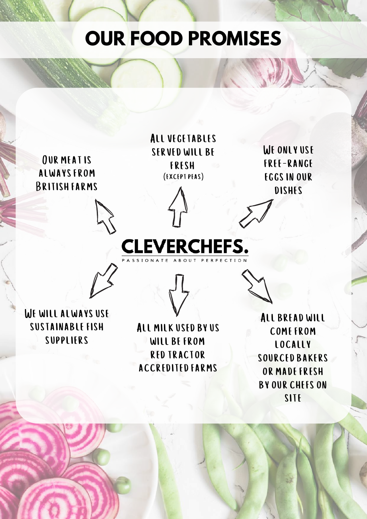### **OUR FOOD PROMISES**

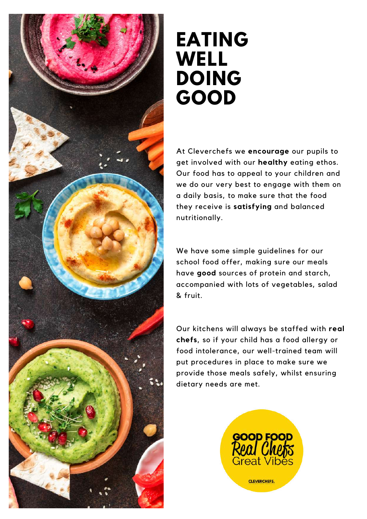

#### **EATING WELL DOING GOOD**

At Cleverchefs we **encourage** our pupils to get involved with our **healthy** eating ethos. Our food has to appeal to your children and we do our very best to engage with them on a daily basis, to make sure that the food they receive is **satisfying** and balanced nutritionally.

We have some simple guidelines for our school food offer, making sure our meals have **good** sources of protein and starch, accompanied with lots of vegetables, salad & fruit.

Our kitchens will always be staffed with **real chefs**, so if your child has a food allergy or food intolerance, our well-trained team will put procedures in place to make sure we provide those meals safely, whilst ensuring dietary needs are met.

![](_page_3_Picture_5.jpeg)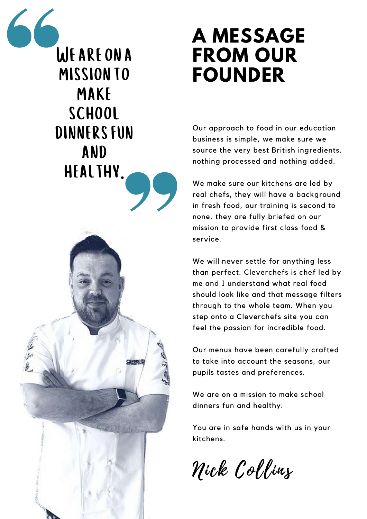WEARE ON A mission TO make school DINNERS FUN and healthy.**CLEVERON** 

## **A MESSAGE FROM OUR FOUNDER**

Our approach to food in our education business is simple, we make sure we source the very best British ingredients. nothing processed and nothing added.

We make sure our kitchens are led by real chefs, they will have a background in fresh food, our training is second to none, they are fully briefed on our mission to provide first class food & service.

We will never settle for anything less than perfect. Cleverchefs is chef led by me and I understand what real food should look like and that message filters through to the whole team. When you step onto a Cleverchefs site you can feel the passion for incredible food.

Our menus have been carefully crafted to take into account the seasons, our pupils tastes and preferences.

We are on a mission to make school dinners fun and healthy.

You are in safe hands with us in your kitchens.

Nick Collins